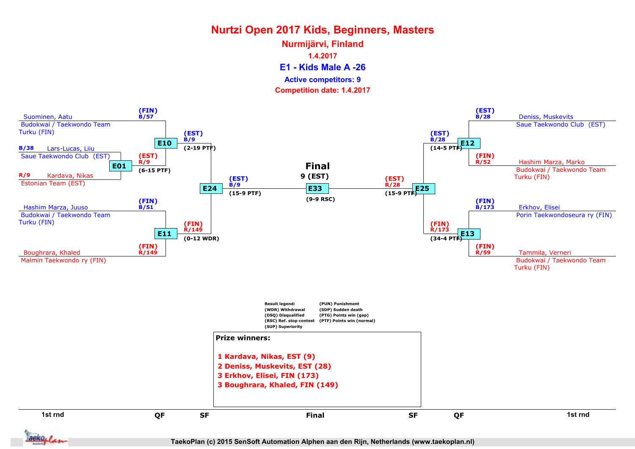E1 - Kids Male A -26 Nurmijärvi, Finland 1.4.2017 Competition date: 1.4.2017 Active competitors: 9



TaekoPlan (c) 2015 SenSoft Automation Alphen aan den Rijn, Netherlands (www.taekoplan.nl)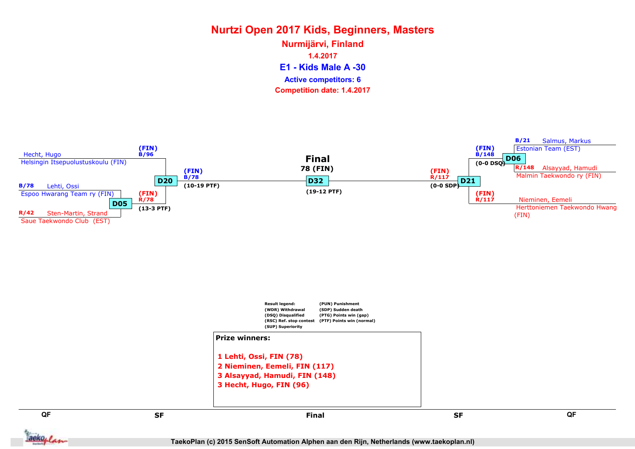E1 - Kids Male A -30 Nurmijärvi, Finland 1.4.2017 Competition date: 1.4.2017 Active competitors: 6

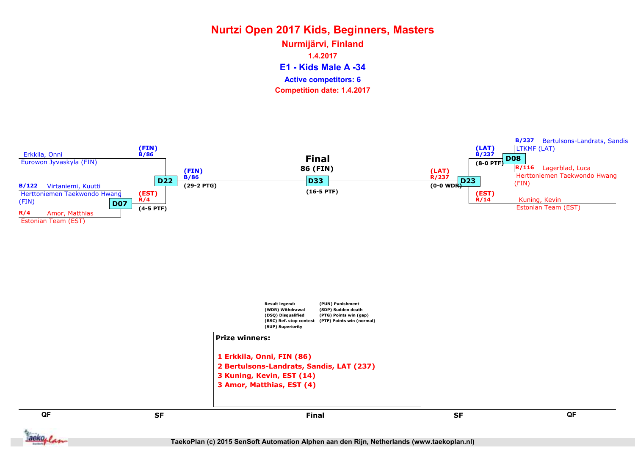E1 - Kids Male A -34 Nurmijärvi, Finland 1.4.2017 Competition date: 1.4.2017 Active competitors: 6



TaekoPlan (c) 2015 SenSoft Automation Alphen aan den Rijn, Netherlands (www.taekoplan.nl)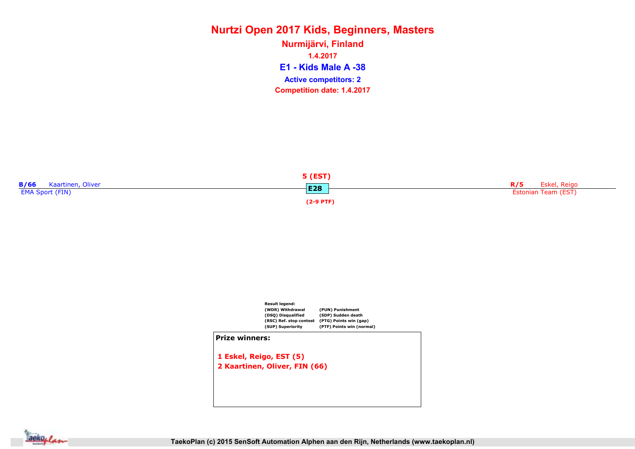E1 - Kids Male A -38 Nurmijärvi, Finland 1.4.2017 Competition date: 1.4.2017 Active competitors: 2





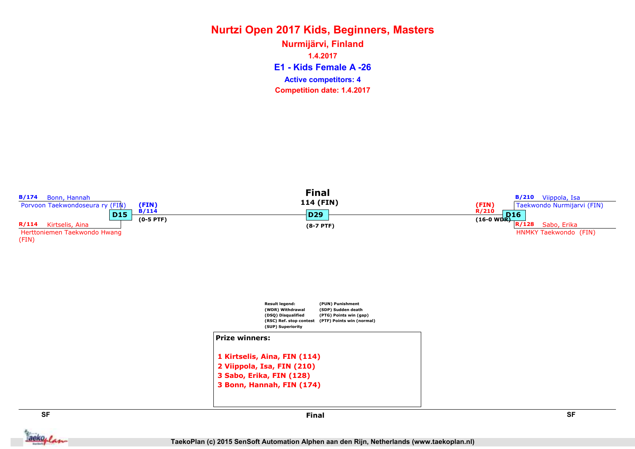E1 - Kids Female A -26 Nurmijärvi, Finland 1.4.2017 Competition date: 1.4.2017 Active competitors: 4

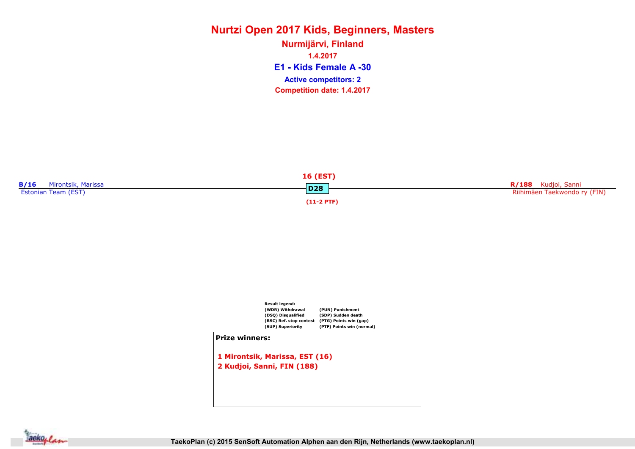E1 - Kids Female A -30 Nurmijärvi, Finland 1.4.2017 Competition date: 1.4.2017 Active competitors: 2





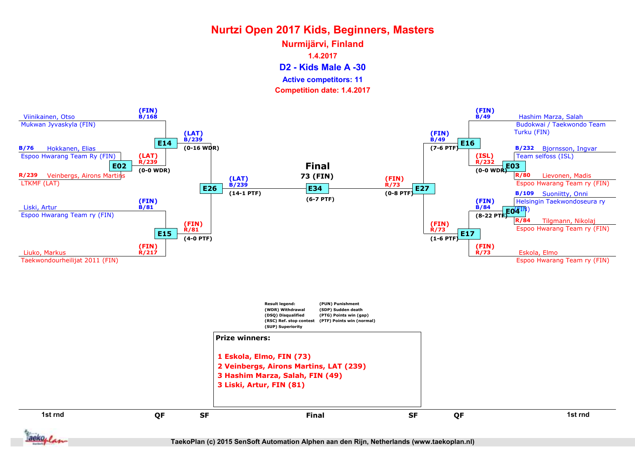D2 - Kids Male A -30 Nurmijärvi, Finland 1.4.2017 Active competitors: 11

Competition date: 1.4.2017



TaekoPlan (c) 2015 SenSoft Automation Alphen aan den Rijn, Netherlands (www.taekoplan.nl)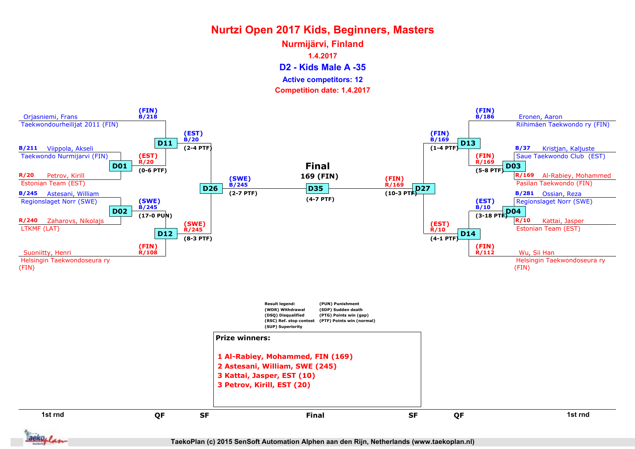D2 - Kids Male A -35 Nurmijärvi, Finland 1.4.2017 Competition date: 1.4.2017 Active competitors: 12



aekoplan

TaekoPlan (c) 2015 SenSoft Automation Alphen aan den Rijn, Netherlands (www.taekoplan.nl)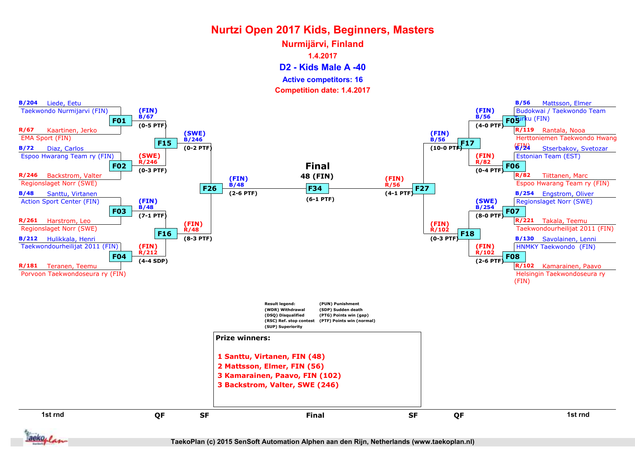D2 - Kids Male A -40 Nurmijärvi, Finland 1.4.2017 Active competitors: 16

Competition date: 1.4.2017



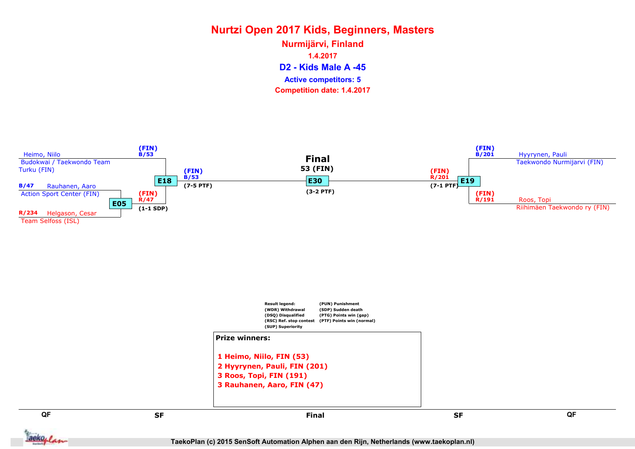D2 - Kids Male A -45 Nurmijärvi, Finland 1.4.2017 Competition date: 1.4.2017 Active competitors: 5

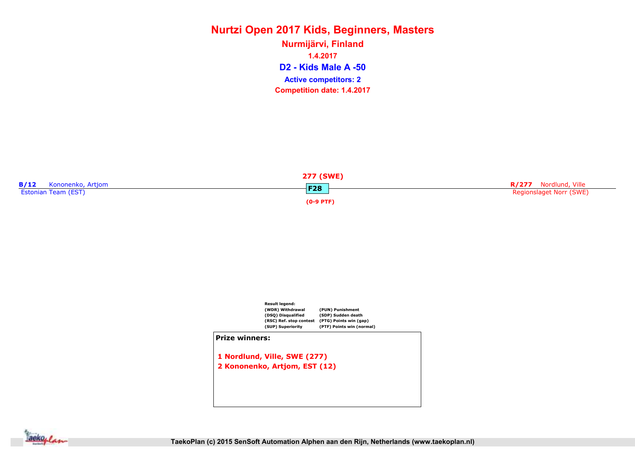D2 - Kids Male A -50 Nurmijärvi, Finland 1.4.2017 Competition date: 1.4.2017 Active competitors: 2





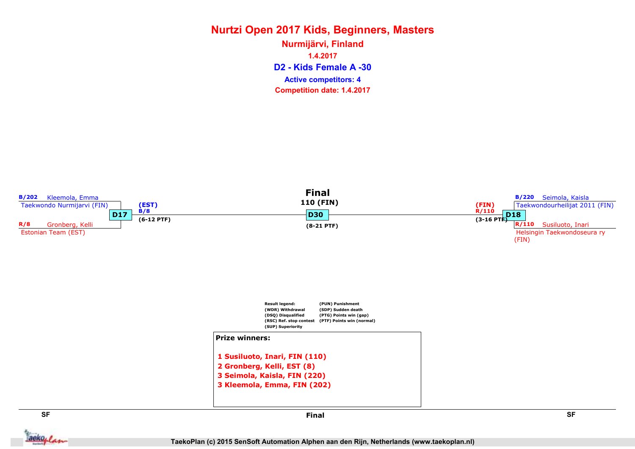D2 - Kids Female A -30 Nurmijärvi, Finland 1.4.2017 Competition date: 1.4.2017 Active competitors: 4

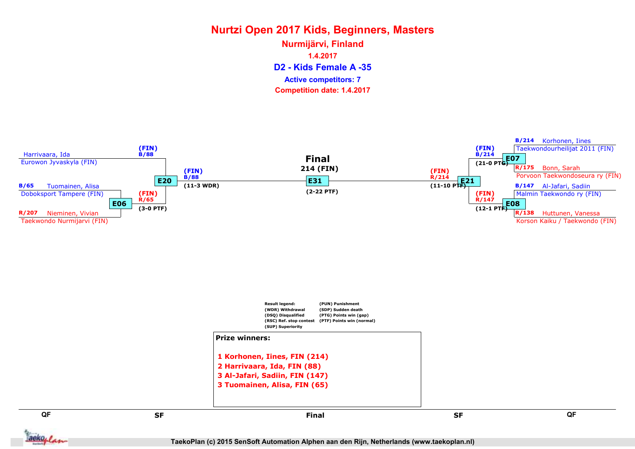D2 - Kids Female A -35 Nurmijärvi, Finland 1.4.2017 Competition date: 1.4.2017 Active competitors: 7



TaekoPlan (c) 2015 SenSoft Automation Alphen aan den Rijn, Netherlands (www.taekoplan.nl)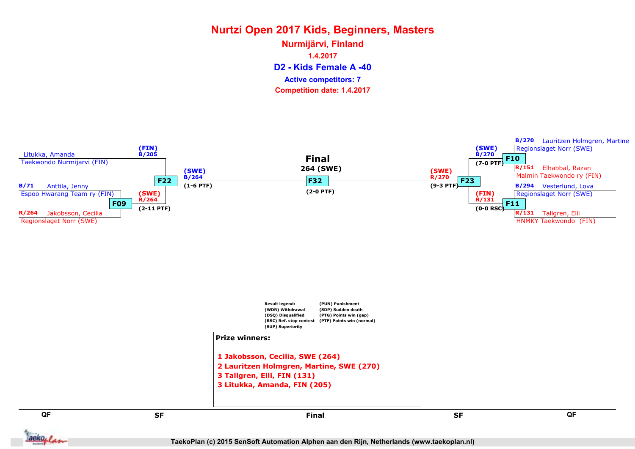D2 - Kids Female A -40 Nurmijärvi, Finland 1.4.2017 Competition date: 1.4.2017 Active competitors: 7

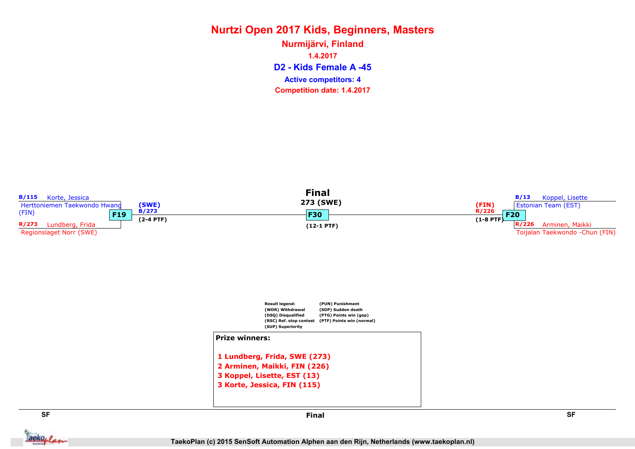D2 - Kids Female A -45 Nurmijärvi, Finland 1.4.2017 Competition date: 1.4.2017 Active competitors: 4

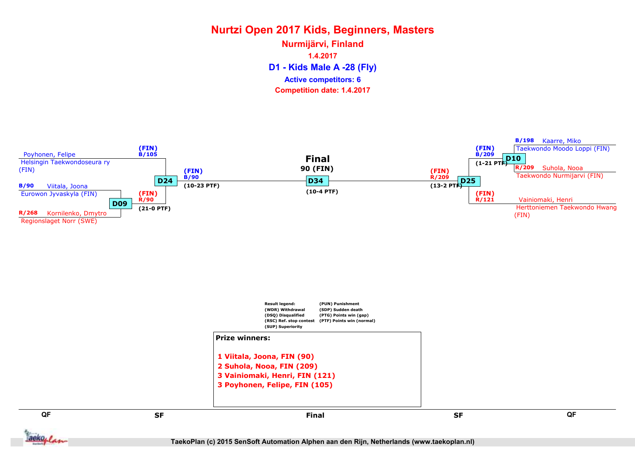D1 - Kids Male A -28 (Fly) Nurmijärvi, Finland 1.4.2017 Competition date: 1.4.2017 Active competitors: 6

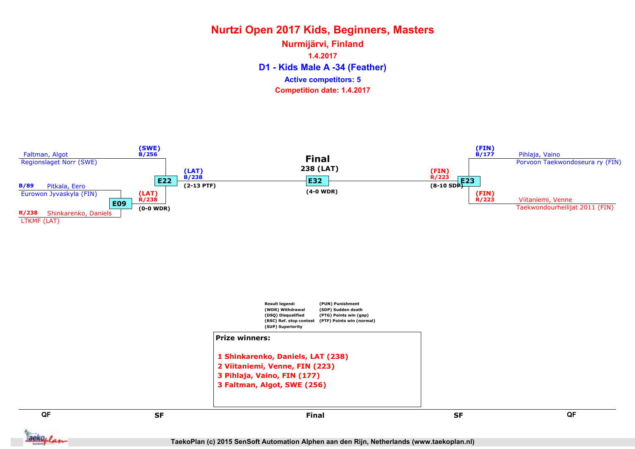D1 - Kids Male A -34 (Feather) Nurmijärvi, Finland 1.4.2017 Competition date: 1.4.2017 Active competitors: 5

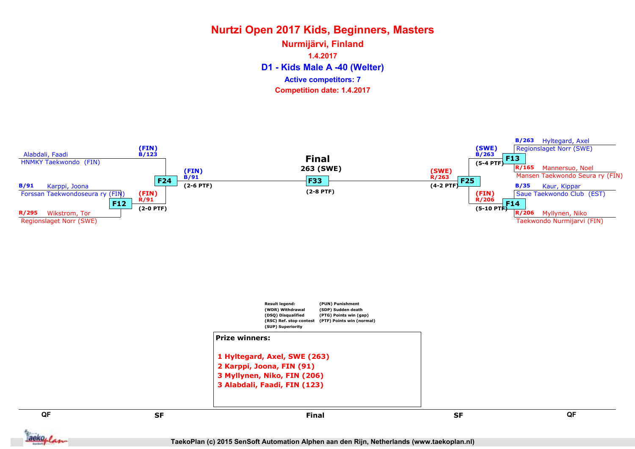D1 - Kids Male A -40 (Welter) Nurmijärvi, Finland 1.4.2017 Competition date: 1.4.2017 Active competitors: 7

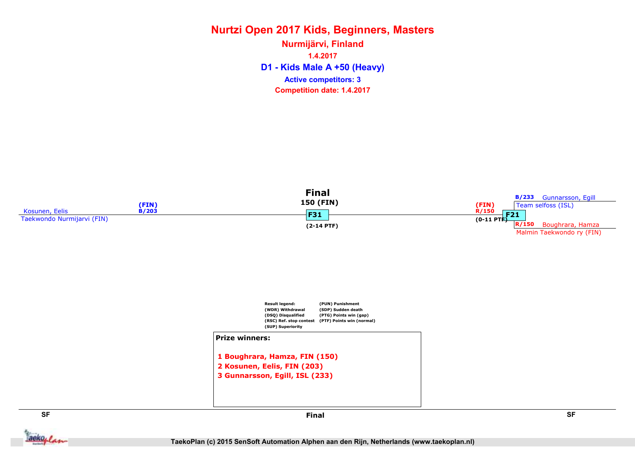D1 - Kids Male A +50 (Heavy) Nurmijärvi, Finland 1.4.2017 Competition date: 1.4.2017 Active competitors: 3



**Jackoplan**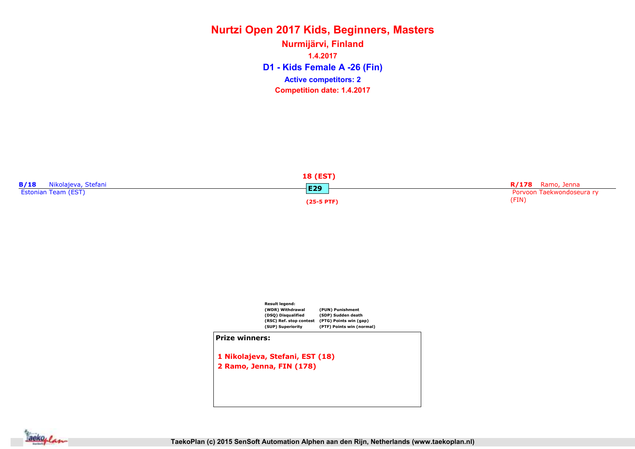D1 - Kids Female A -26 (Fin) Nurmijärvi, Finland 1.4.2017 Competition date: 1.4.2017 Active competitors: 2





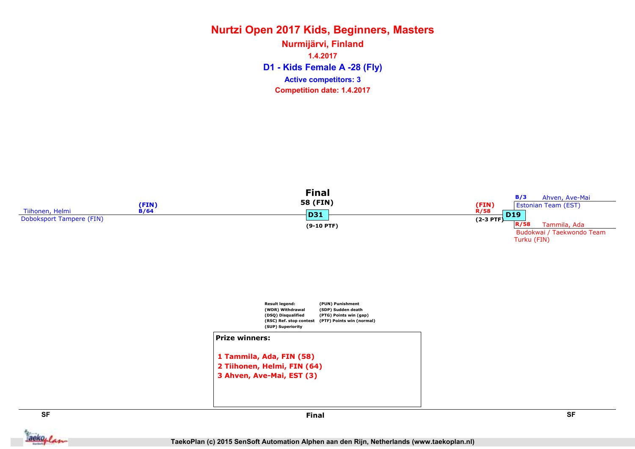D1 - Kids Female A -28 (Fly) Nurmijärvi, Finland 1.4.2017 Competition date: 1.4.2017 Active competitors: 3



TaekoPlan (c) 2015 SenSoft Automation Alphen aan den Rijn, Netherlands (www.taekoplan.nl)

aekoplan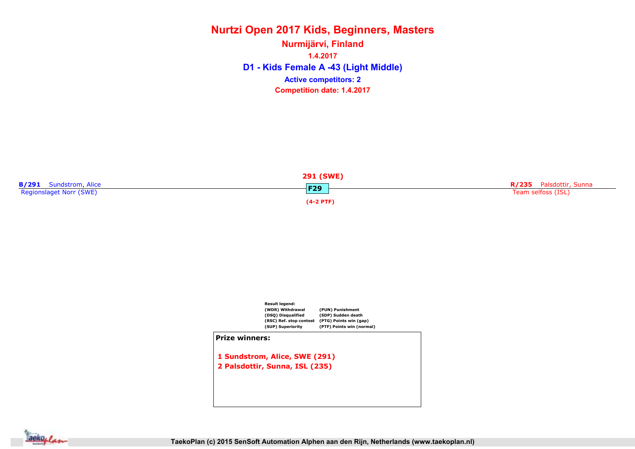D1 - Kids Female A -43 (Light Middle) Nurmijärvi, Finland 1.4.2017 Competition date: 1.4.2017 Active competitors: 2





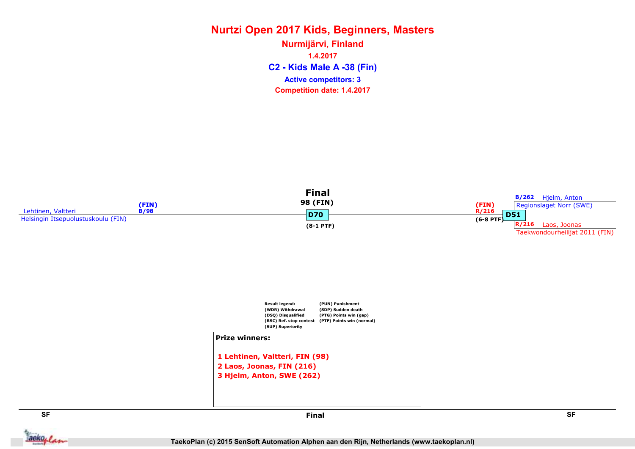C2 - Kids Male A -38 (Fin) Nurmijärvi, Finland 1.4.2017 Competition date: 1.4.2017 Active competitors: 3





1 Lehtinen, Valtteri, FIN (98) 2 Laos, Joonas, FIN (216) 3 Hjelm, Anton, SWE (262)

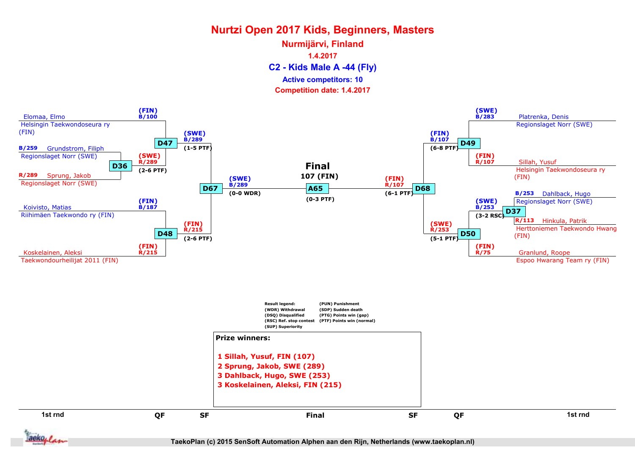C2 - Kids Male A -44 (Fly) Nurmijärvi, Finland 1.4.2017 Competition date: 1.4.2017 Active competitors: 10



aekoplan

TaekoPlan (c) 2015 SenSoft Automation Alphen aan den Rijn, Netherlands (www.taekoplan.nl)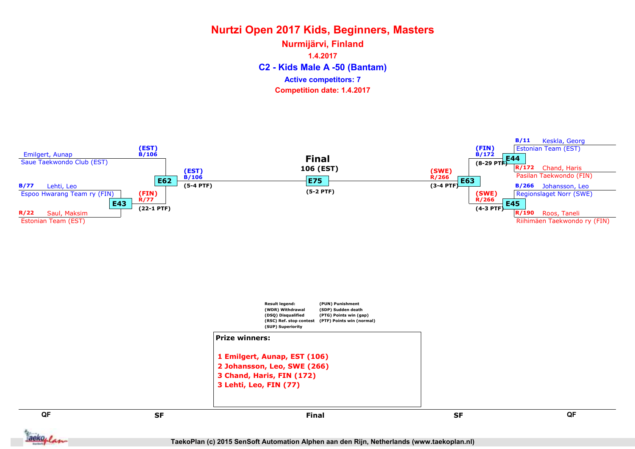C2 - Kids Male A -50 (Bantam) Nurmijärvi, Finland 1.4.2017 Competition date: 1.4.2017 Active competitors: 7

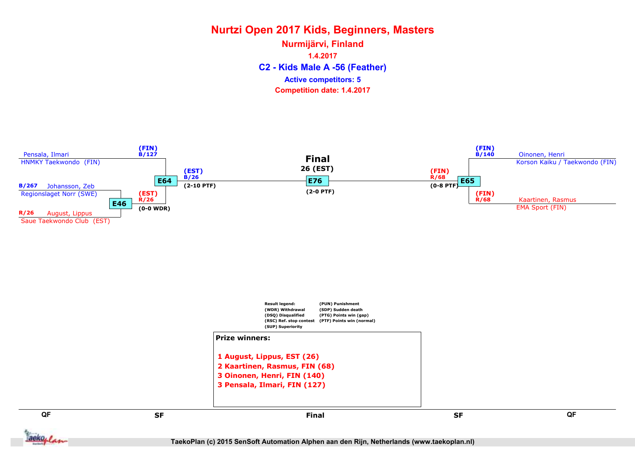C2 - Kids Male A -56 (Feather) Nurmijärvi, Finland 1.4.2017 Competition date: 1.4.2017 Active competitors: 5

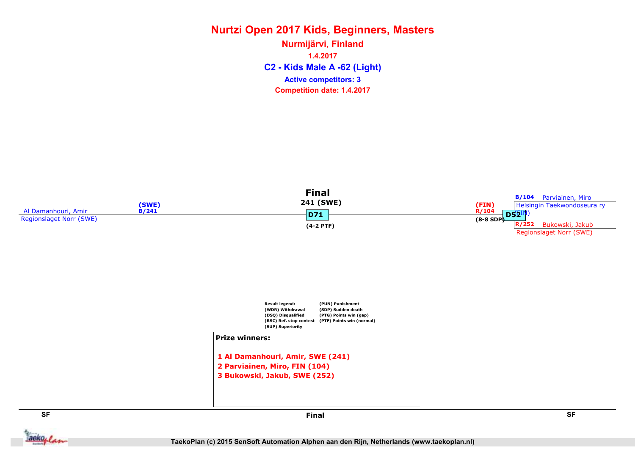C2 - Kids Male A -62 (Light) Nurmijärvi, Finland 1.4.2017 Competition date: 1.4.2017 Active competitors: 3



aekoplan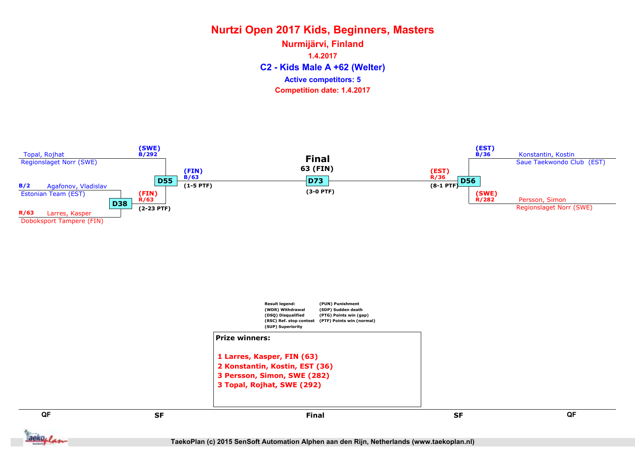C2 - Kids Male A +62 (Welter) Nurmijärvi, Finland 1.4.2017 Competition date: 1.4.2017 Active competitors: 5

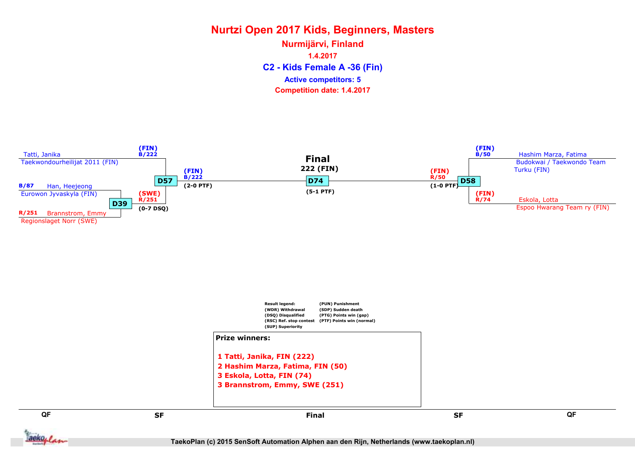C2 - Kids Female A -36 (Fin) Nurmijärvi, Finland 1.4.2017 Competition date: 1.4.2017 Active competitors: 5

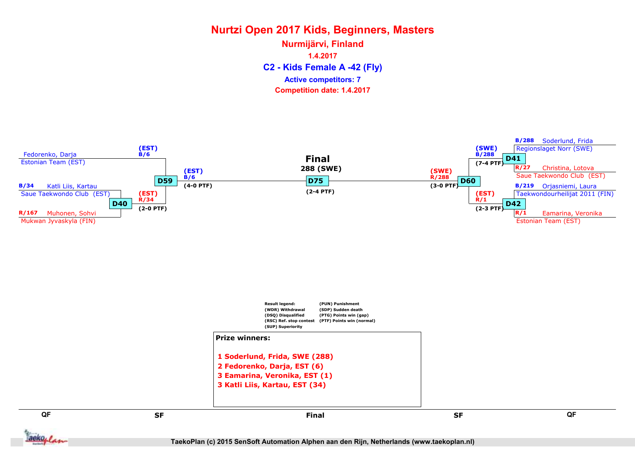C2 - Kids Female A -42 (Fly) Nurmijärvi, Finland 1.4.2017 Competition date: 1.4.2017 Active competitors: 7

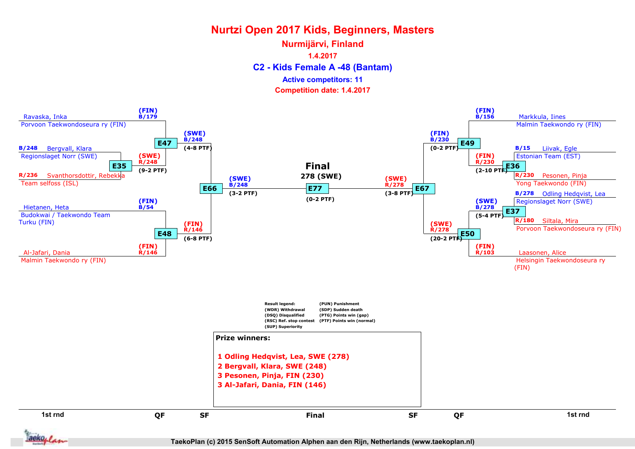#### C2 - Kids Female A -48 (Bantam) Nurmijärvi, Finland 1.4.2017 Competition date: 1.4.2017 Active competitors: 11



aekoplan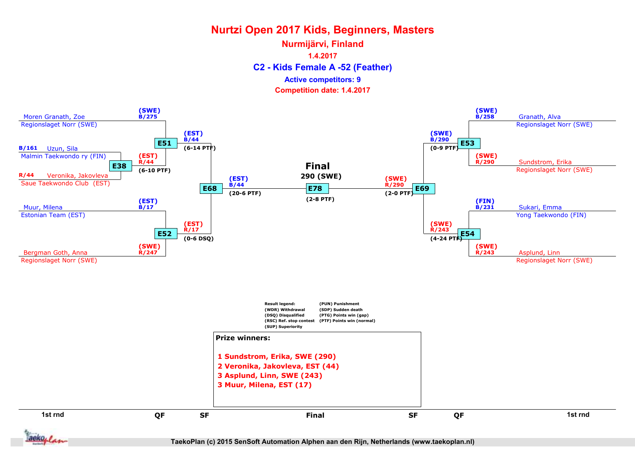#### C2 - Kids Female A -52 (Feather) Nurmijärvi, Finland 1.4.2017 Competition date: 1.4.2017 Active competitors: 9



TaekoPlan (c) 2015 SenSoft Automation Alphen aan den Rijn, Netherlands (www.taekoplan.nl)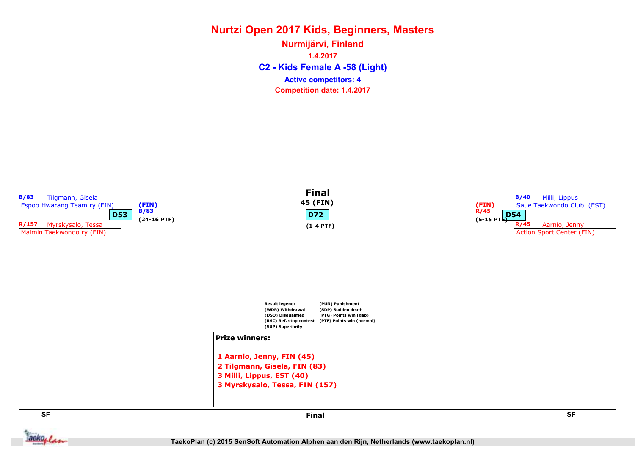C2 - Kids Female A -58 (Light) Nurmijärvi, Finland 1.4.2017 Competition date: 1.4.2017 Active competitors: 4

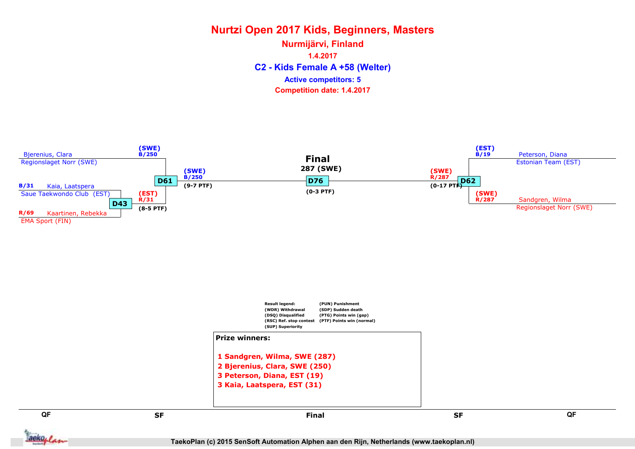C2 - Kids Female A +58 (Welter) Nurmijärvi, Finland 1.4.2017 Competition date: 1.4.2017 Active competitors: 5

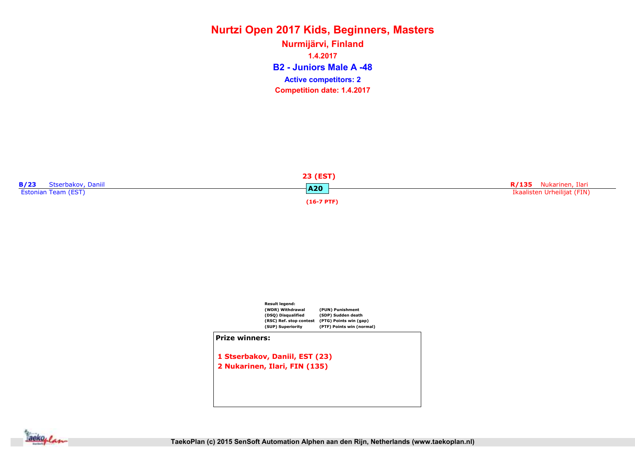B2 - Juniors Male A -48 Nurmijärvi, Finland 1.4.2017 Competition date: 1.4.2017 Active competitors: 2





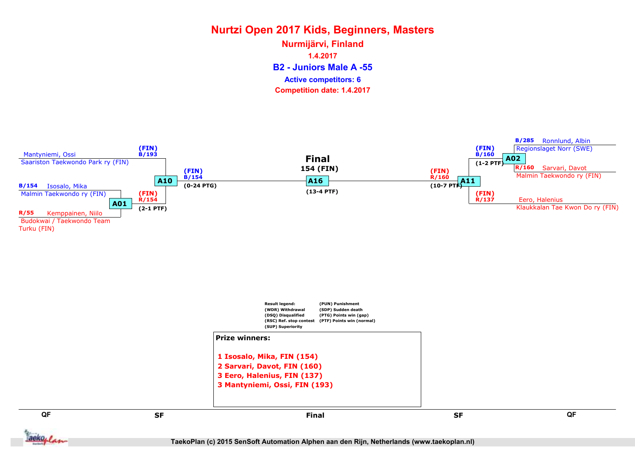B2 - Juniors Male A -55 Nurmijärvi, Finland 1.4.2017 Competition date: 1.4.2017 Active competitors: 6

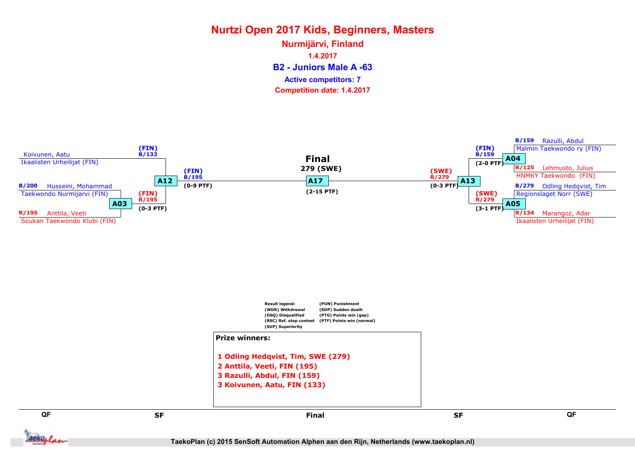B2 - Juniors Male A -63 Nurmijärvi, Finland 1.4.2017 Competition date: 1.4.2017 Active competitors: 7

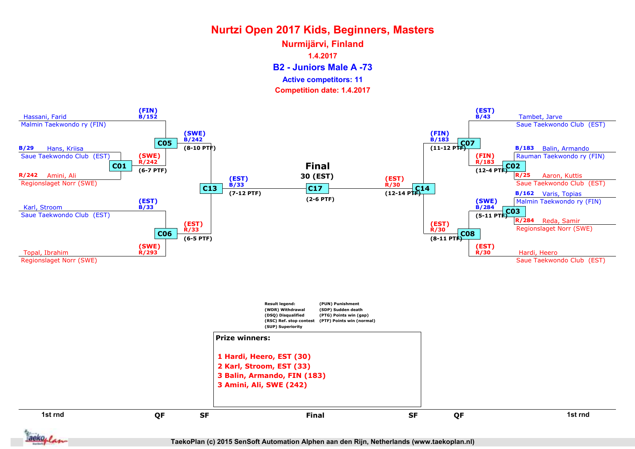B2 - Juniors Male A -73 Nurmijärvi, Finland 1.4.2017 Active competitors: 11

Competition date: 1.4.2017



aekoplan

TaekoPlan (c) 2015 SenSoft Automation Alphen aan den Rijn, Netherlands (www.taekoplan.nl)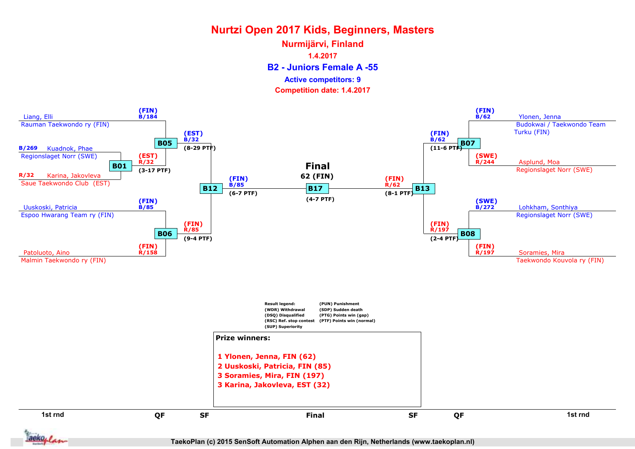B2 - Juniors Female A -55 Nurmijärvi, Finland 1.4.2017 Competition date: 1.4.2017 Active competitors: 9



TaekoPlan (c) 2015 SenSoft Automation Alphen aan den Rijn, Netherlands (www.taekoplan.nl)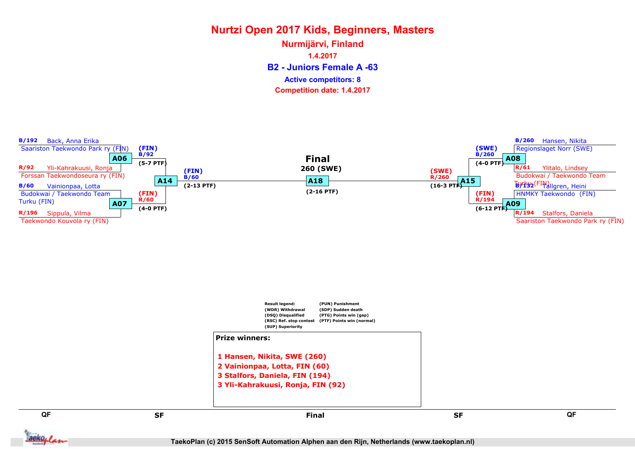B2 - Juniors Female A -63 Nurmijärvi, Finland 1.4.2017 Competition date: 1.4.2017 Active competitors: 8

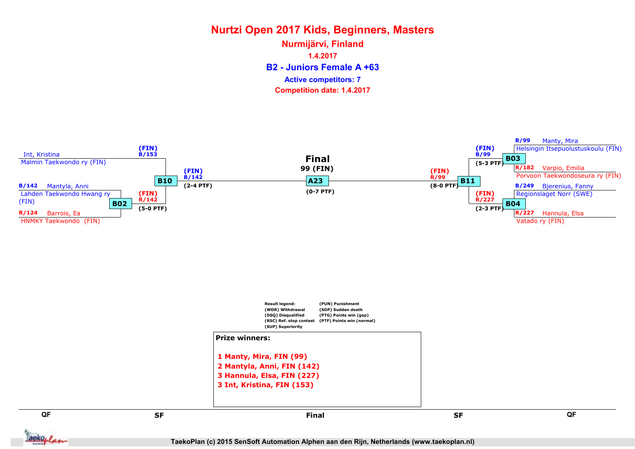B2 - Juniors Female A +63 Nurmijärvi, Finland 1.4.2017 Competition date: 1.4.2017 Active competitors: 7



aekoplan

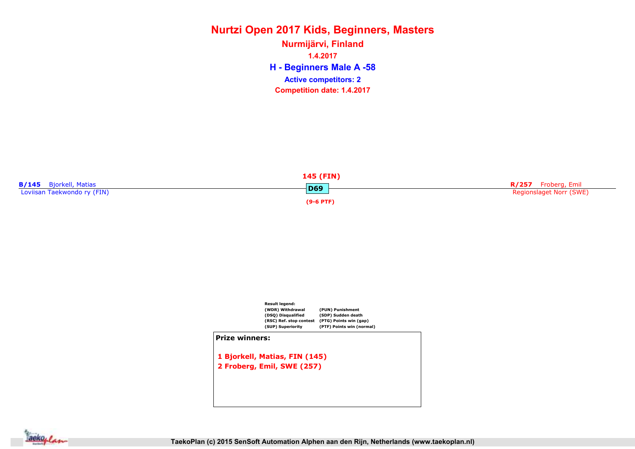H - Beginners Male A -58 Nurmijärvi, Finland 1.4.2017 Competition date: 1.4.2017 Active competitors: 2





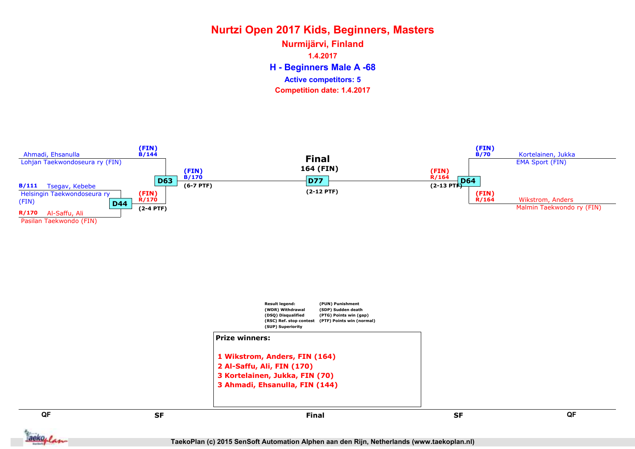H - Beginners Male A -68 Nurmijärvi, Finland 1.4.2017 Competition date: 1.4.2017 Active competitors: 5



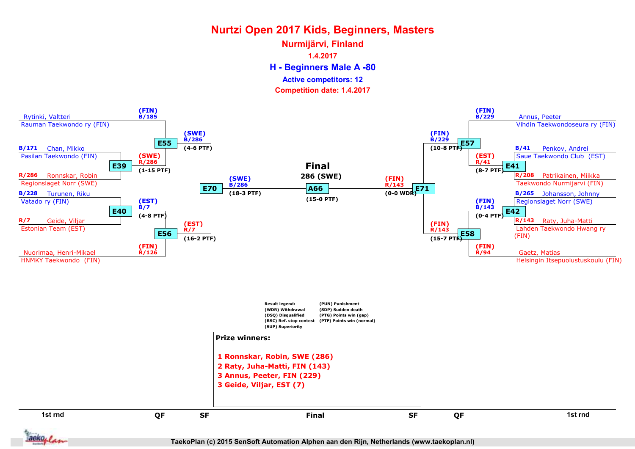H - Beginners Male A -80 Nurmijärvi, Finland 1.4.2017 Active competitors: 12

Competition date: 1.4.2017



TaekoPlan (c) 2015 SenSoft Automation Alphen aan den Rijn, Netherlands (www.taekoplan.nl)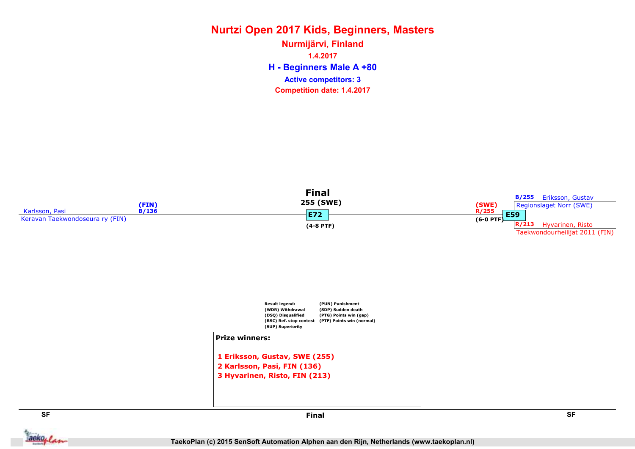H - Beginners Male A +80 Nurmijärvi, Finland 1.4.2017 Competition date: 1.4.2017 Active competitors: 3



**Jackoplan**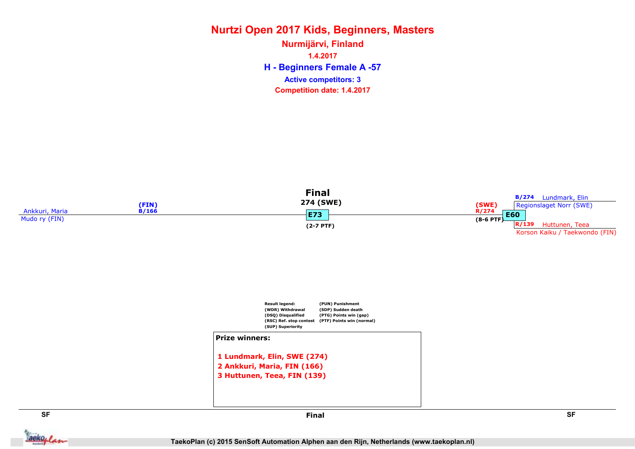H - Beginners Female A -57 Nurmijärvi, Finland 1.4.2017 Competition date: 1.4.2017 Active competitors: 3



aekoplan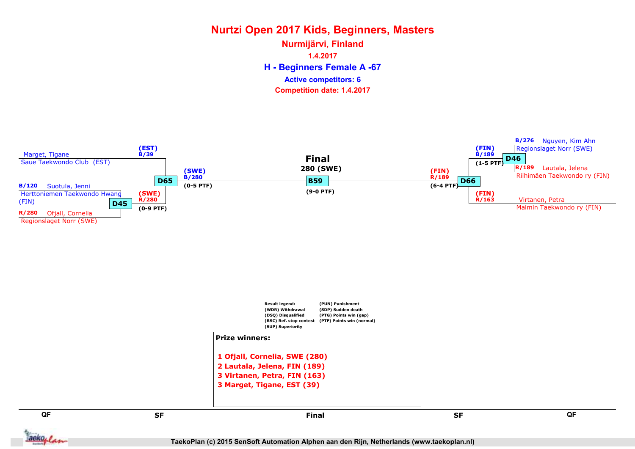H - Beginners Female A -67 Nurmijärvi, Finland 1.4.2017 Competition date: 1.4.2017 Active competitors: 6

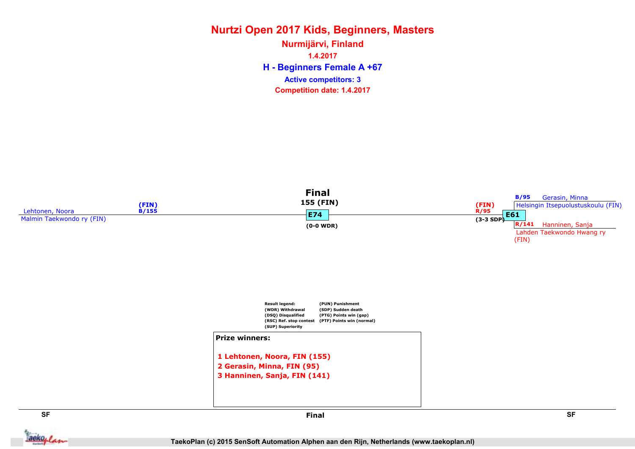H - Beginners Female A +67 Nurmijärvi, Finland 1.4.2017 Competition date: 1.4.2017 Active competitors: 3



**Jackoplan** 

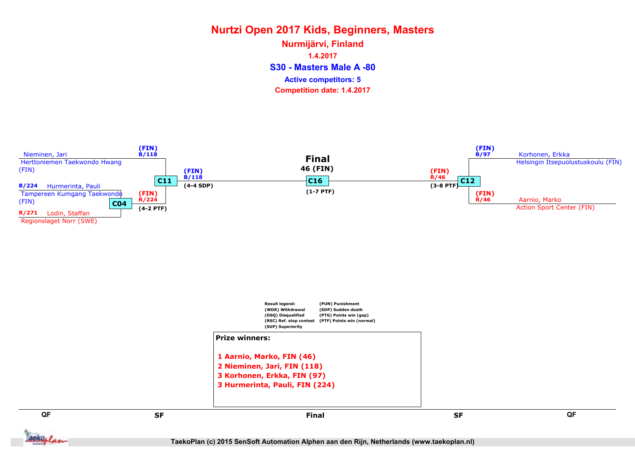S30 - Masters Male A -80 Nurmijärvi, Finland 1.4.2017 Competition date: 1.4.2017 Active competitors: 5



TaekoPlan (c) 2015 SenSoft Automation Alphen aan den Rijn, Netherlands (www.taekoplan.nl)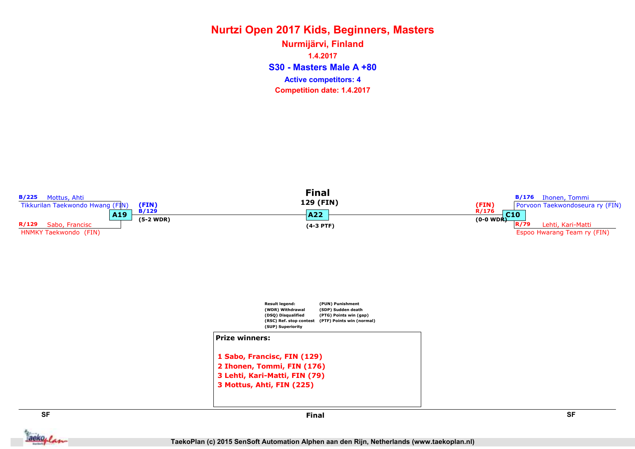S30 - Masters Male A +80 Nurmijärvi, Finland 1.4.2017 Competition date: 1.4.2017 Active competitors: 4



aekoplan